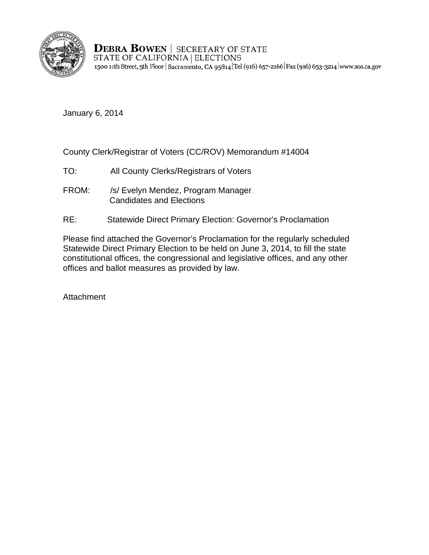

**DEBRA BOWEN | SECRETARY OF STATE** STATE OF CALIFORNIA ELECTIONS 1500 11th Street, 5th Floor | Sacramento, CA 95814 Tel (916) 657-2166 Fax (916) 653-3214 www.sos.ca.gov

January 6, 2014

County Clerk/Registrar of Voters (CC/ROV) Memorandum #14004

- TO: All County Clerks/Registrars of Voters
- FROM: /s/ Evelyn Mendez, Program Manager Candidates and Elections
- RE: Statewide Direct Primary Election: Governor's Proclamation

Please find attached the Governor's Proclamation for the regularly scheduled Statewide Direct Primary Election to be held on June 3, 2014, to fill the state constitutional offices, the congressional and legislative offices, and any other offices and ballot measures as provided by law.

Attachment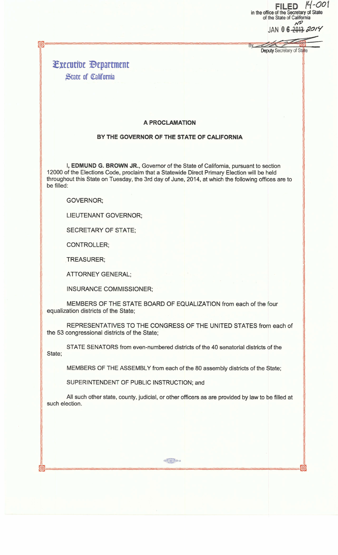FILED  $14$ -001 in the office of the Secretary of State of the State of California NP

JAN 0 6 -2013 2014

external and the Deputy Secretary of State

Bv

## ~xrcuti\lc llrpartmrnt **State of California**

~= ===========

==== =====

## A PROCLAMATION

## BY THE GOVERNOR OF THE STATE OF CALIFORNIA

I, EDMUND G. BROWN JR., Governor of the State of California, pursuant to section 12000 of the Elections Code, proclaim that a Statewide Direct Primary Election will be held throughout this State on Tuesday, the 3rd day of June, 2014, at which the following offices are to be filled:

## GOVERNOR;

LIEUTENANT GOVERNOR;

SECRETARY OF STATE;

CONTROLLER;

TREASURER;

ATTORNEY GENERAL;

INSURANCE COMMISSIONER;

MEMBERS OF THE STATE BOARD OF EQUALIZATION from each of the four equalization districts of the State;

REPRESENTATIVES TO THE CONGRESS OF THE UNITED STATES from each of the 53 congressional districts of the State;

STATE SENATORS from even-numbered districts of the 40 senatorial districts of the State;

MEMBERS OF THE ASSEMBLY from each of the 80 assembly districts of the State;

SUPERINTENDENT OF PUBLIC INSTRUCTION; and

All such other state, county, judicial, or other officers as are provided by law to be filled at such election.

 $\omega = -\frac{1}{2}$ 

Classes | Control De G4